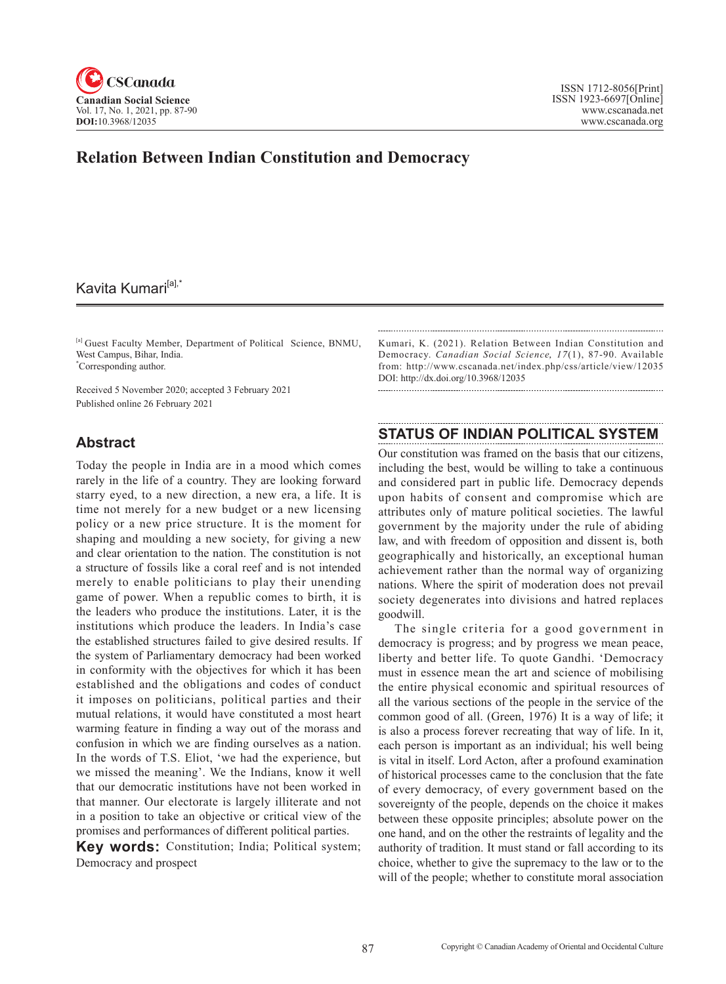

# **Relation Between Indian Constitution and Democracy**

## Kavita Kumari<sup>[a],\*</sup>

[a] Guest Faculty Member, Department of Political Science, BNMU, West Campus, Bihar, India. \* Corresponding author.

Received 5 November 2020; accepted 3 February 2021 Published online 26 February 2021

### **Abstract**

Today the people in India are in a mood which comes rarely in the life of a country. They are looking forward starry eyed, to a new direction, a new era, a life. It is time not merely for a new budget or a new licensing policy or a new price structure. It is the moment for shaping and moulding a new society, for giving a new and clear orientation to the nation. The constitution is not a structure of fossils like a coral reef and is not intended merely to enable politicians to play their unending game of power. When a republic comes to birth, it is the leaders who produce the institutions. Later, it is the institutions which produce the leaders. In India's case the established structures failed to give desired results. If the system of Parliamentary democracy had been worked in conformity with the objectives for which it has been established and the obligations and codes of conduct it imposes on politicians, political parties and their mutual relations, it would have constituted a most heart warming feature in finding a way out of the morass and confusion in which we are finding ourselves as a nation. In the words of T.S. Eliot, 'we had the experience, but we missed the meaning'. We the Indians, know it well that our democratic institutions have not been worked in that manner. Our electorate is largely illiterate and not in a position to take an objective or critical view of the promises and performances of different political parties.

**Key words:** Constitution; India; Political system; Democracy and prospect

Kumari, K. (2021). Relation Between Indian Constitution and Democracy. *Canadian Social Science*, 17(1), 87-90. Available from: http://www.cscanada.net/index.php/css/article/view/12035 DOI: http://dx.doi.org/10.3968/12035

### **STATUS OF INDIAN POLITICAL SYSTEM**

Our constitution was framed on the basis that our citizens, including the best, would be willing to take a continuous and considered part in public life. Democracy depends upon habits of consent and compromise which are attributes only of mature political societies. The lawful government by the majority under the rule of abiding law, and with freedom of opposition and dissent is, both geographically and historically, an exceptional human achievement rather than the normal way of organizing nations. Where the spirit of moderation does not prevail society degenerates into divisions and hatred replaces goodwill.

The single criteria for a good government in democracy is progress; and by progress we mean peace, liberty and better life. To quote Gandhi. 'Democracy must in essence mean the art and science of mobilising the entire physical economic and spiritual resources of all the various sections of the people in the service of the common good of all. (Green, 1976) It is a way of life; it is also a process forever recreating that way of life. In it, each person is important as an individual; his well being is vital in itself. Lord Acton, after a profound examination of historical processes came to the conclusion that the fate of every democracy, of every government based on the sovereignty of the people, depends on the choice it makes between these opposite principles; absolute power on the one hand, and on the other the restraints of legality and the authority of tradition. It must stand or fall according to its choice, whether to give the supremacy to the law or to the will of the people; whether to constitute moral association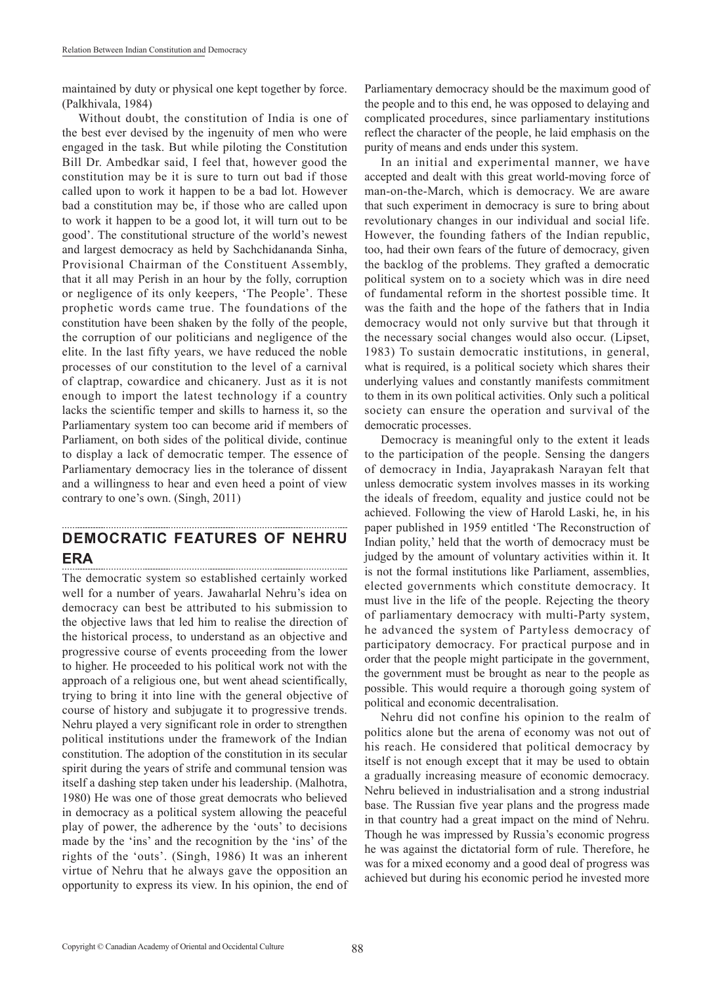maintained by duty or physical one kept together by force. (Palkhivala, 1984)

Without doubt, the constitution of India is one of the best ever devised by the ingenuity of men who were engaged in the task. But while piloting the Constitution Bill Dr. Ambedkar said, I feel that, however good the constitution may be it is sure to turn out bad if those called upon to work it happen to be a bad lot. However bad a constitution may be, if those who are called upon to work it happen to be a good lot, it will turn out to be good'. The constitutional structure of the world's newest and largest democracy as held by Sachchidananda Sinha, Provisional Chairman of the Constituent Assembly, that it all may Perish in an hour by the folly, corruption or negligence of its only keepers, 'The People'. These prophetic words came true. The foundations of the constitution have been shaken by the folly of the people, the corruption of our politicians and negligence of the elite. In the last fifty years, we have reduced the noble processes of our constitution to the level of a carnival of claptrap, cowardice and chicanery. Just as it is not enough to import the latest technology if a country lacks the scientific temper and skills to harness it, so the Parliamentary system too can become arid if members of Parliament, on both sides of the political divide, continue to display a lack of democratic temper. The essence of Parliamentary democracy lies in the tolerance of dissent and a willingness to hear and even heed a point of view contrary to one's own. (Singh, 2011)

#### **DEMOCRATIC FEATURES OF NEHRU ERA**

The democratic system so established certainly worked well for a number of years. Jawaharlal Nehru's idea on democracy can best be attributed to his submission to the objective laws that led him to realise the direction of the historical process, to understand as an objective and progressive course of events proceeding from the lower to higher. He proceeded to his political work not with the approach of a religious one, but went ahead scientifically, trying to bring it into line with the general objective of course of history and subjugate it to progressive trends. Nehru played a very significant role in order to strengthen political institutions under the framework of the Indian constitution. The adoption of the constitution in its secular spirit during the years of strife and communal tension was itself a dashing step taken under his leadership. (Malhotra, 1980) He was one of those great democrats who believed in democracy as a political system allowing the peaceful play of power, the adherence by the 'outs' to decisions made by the 'ins' and the recognition by the 'ins' of the rights of the 'outs'. (Singh, 1986) It was an inherent virtue of Nehru that he always gave the opposition an opportunity to express its view. In his opinion, the end of

Parliamentary democracy should be the maximum good of the people and to this end, he was opposed to delaying and complicated procedures, since parliamentary institutions reflect the character of the people, he laid emphasis on the purity of means and ends under this system.

In an initial and experimental manner, we have accepted and dealt with this great world-moving force of man-on-the-March, which is democracy. We are aware that such experiment in democracy is sure to bring about revolutionary changes in our individual and social life. However, the founding fathers of the Indian republic, too, had their own fears of the future of democracy, given the backlog of the problems. They grafted a democratic political system on to a society which was in dire need of fundamental reform in the shortest possible time. It was the faith and the hope of the fathers that in India democracy would not only survive but that through it the necessary social changes would also occur. (Lipset, 1983) To sustain democratic institutions, in general, what is required, is a political society which shares their underlying values and constantly manifests commitment to them in its own political activities. Only such a political society can ensure the operation and survival of the democratic processes.

Democracy is meaningful only to the extent it leads to the participation of the people. Sensing the dangers of democracy in India, Jayaprakash Narayan felt that unless democratic system involves masses in its working the ideals of freedom, equality and justice could not be achieved. Following the view of Harold Laski, he, in his paper published in 1959 entitled 'The Reconstruction of Indian polity,' held that the worth of democracy must be judged by the amount of voluntary activities within it. It is not the formal institutions like Parliament, assemblies, elected governments which constitute democracy. It must live in the life of the people. Rejecting the theory of parliamentary democracy with multi-Party system, he advanced the system of Partyless democracy of participatory democracy. For practical purpose and in order that the people might participate in the government, the government must be brought as near to the people as possible. This would require a thorough going system of political and economic decentralisation.

Nehru did not confine his opinion to the realm of politics alone but the arena of economy was not out of his reach. He considered that political democracy by itself is not enough except that it may be used to obtain a gradually increasing measure of economic democracy. Nehru believed in industrialisation and a strong industrial base. The Russian five year plans and the progress made in that country had a great impact on the mind of Nehru. Though he was impressed by Russia's economic progress he was against the dictatorial form of rule. Therefore, he was for a mixed economy and a good deal of progress was achieved but during his economic period he invested more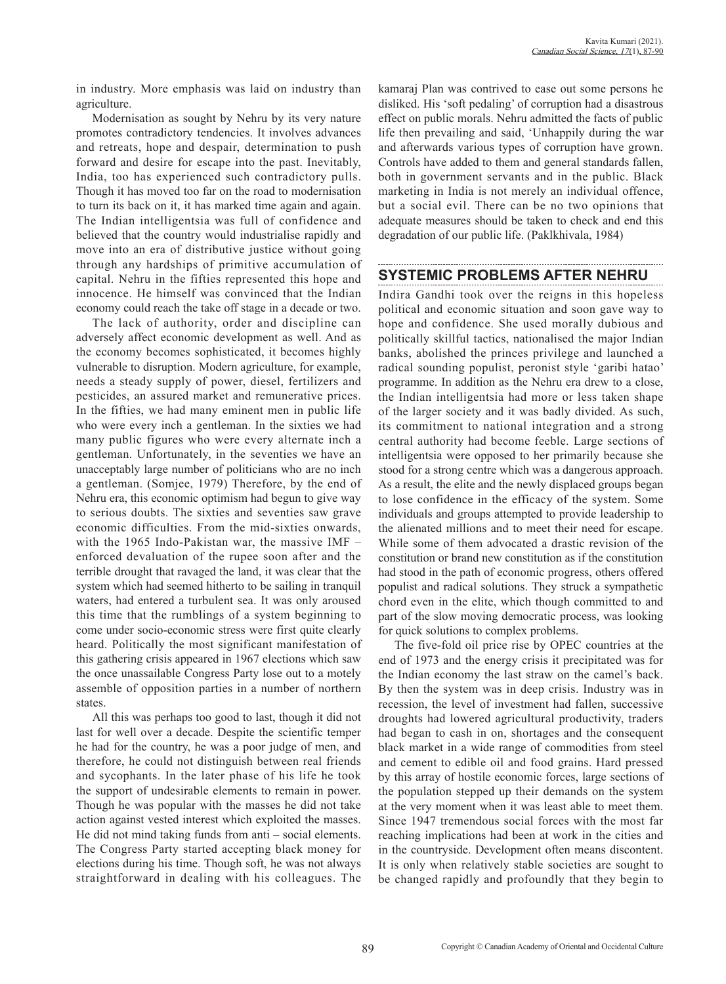in industry. More emphasis was laid on industry than agriculture.

Modernisation as sought by Nehru by its very nature promotes contradictory tendencies. It involves advances and retreats, hope and despair, determination to push forward and desire for escape into the past. Inevitably, India, too has experienced such contradictory pulls. Though it has moved too far on the road to modernisation to turn its back on it, it has marked time again and again. The Indian intelligentsia was full of confidence and believed that the country would industrialise rapidly and move into an era of distributive justice without going through any hardships of primitive accumulation of capital. Nehru in the fifties represented this hope and innocence. He himself was convinced that the Indian economy could reach the take off stage in a decade or two.

The lack of authority, order and discipline can adversely affect economic development as well. And as the economy becomes sophisticated, it becomes highly vulnerable to disruption. Modern agriculture, for example, needs a steady supply of power, diesel, fertilizers and pesticides, an assured market and remunerative prices. In the fifties, we had many eminent men in public life who were every inch a gentleman. In the sixties we had many public figures who were every alternate inch a gentleman. Unfortunately, in the seventies we have an unacceptably large number of politicians who are no inch a gentleman. (Somjee, 1979) Therefore, by the end of Nehru era, this economic optimism had begun to give way to serious doubts. The sixties and seventies saw grave economic difficulties. From the mid-sixties onwards, with the 1965 Indo-Pakistan war, the massive IMF – enforced devaluation of the rupee soon after and the terrible drought that ravaged the land, it was clear that the system which had seemed hitherto to be sailing in tranquil waters, had entered a turbulent sea. It was only aroused this time that the rumblings of a system beginning to come under socio-economic stress were first quite clearly heard. Politically the most significant manifestation of this gathering crisis appeared in 1967 elections which saw the once unassailable Congress Party lose out to a motely assemble of opposition parties in a number of northern states.

All this was perhaps too good to last, though it did not last for well over a decade. Despite the scientific temper he had for the country, he was a poor judge of men, and therefore, he could not distinguish between real friends and sycophants. In the later phase of his life he took the support of undesirable elements to remain in power. Though he was popular with the masses he did not take action against vested interest which exploited the masses. He did not mind taking funds from anti – social elements. The Congress Party started accepting black money for elections during his time. Though soft, he was not always straightforward in dealing with his colleagues. The

kamaraj Plan was contrived to ease out some persons he disliked. His 'soft pedaling' of corruption had a disastrous effect on public morals. Nehru admitted the facts of public life then prevailing and said, 'Unhappily during the war and afterwards various types of corruption have grown. Controls have added to them and general standards fallen, both in government servants and in the public. Black marketing in India is not merely an individual offence, but a social evil. There can be no two opinions that adequate measures should be taken to check and end this degradation of our public life. (Paklkhivala, 1984)

### **SYSTEMIC PROBLEMS AFTER NEHRU**

Indira Gandhi took over the reigns in this hopeless political and economic situation and soon gave way to hope and confidence. She used morally dubious and politically skillful tactics, nationalised the major Indian banks, abolished the princes privilege and launched a radical sounding populist, peronist style 'garibi hatao' programme. In addition as the Nehru era drew to a close, the Indian intelligentsia had more or less taken shape of the larger society and it was badly divided. As such, its commitment to national integration and a strong central authority had become feeble. Large sections of intelligentsia were opposed to her primarily because she stood for a strong centre which was a dangerous approach. As a result, the elite and the newly displaced groups began to lose confidence in the efficacy of the system. Some individuals and groups attempted to provide leadership to the alienated millions and to meet their need for escape. While some of them advocated a drastic revision of the constitution or brand new constitution as if the constitution had stood in the path of economic progress, others offered populist and radical solutions. They struck a sympathetic chord even in the elite, which though committed to and part of the slow moving democratic process, was looking for quick solutions to complex problems.

The five-fold oil price rise by OPEC countries at the end of 1973 and the energy crisis it precipitated was for the Indian economy the last straw on the camel's back. By then the system was in deep crisis. Industry was in recession, the level of investment had fallen, successive droughts had lowered agricultural productivity, traders had began to cash in on, shortages and the consequent black market in a wide range of commodities from steel and cement to edible oil and food grains. Hard pressed by this array of hostile economic forces, large sections of the population stepped up their demands on the system at the very moment when it was least able to meet them. Since 1947 tremendous social forces with the most far reaching implications had been at work in the cities and in the countryside. Development often means discontent. It is only when relatively stable societies are sought to be changed rapidly and profoundly that they begin to